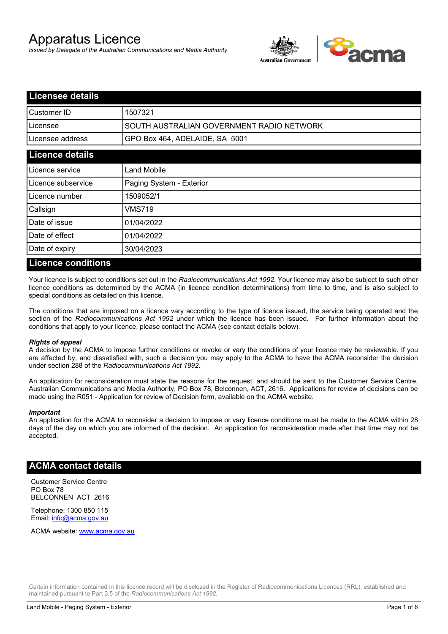# Apparatus Licence

*Issued by Delegate of the Australian Communications and Media Authority*



| <b>Licensee details</b> |                                           |
|-------------------------|-------------------------------------------|
| Customer ID             | 1507321                                   |
| Licensee                | SOUTH AUSTRALIAN GOVERNMENT RADIO NETWORK |
| Licensee address        | GPO Box 464, ADELAIDE, SA 5001            |
| <b>Licence details</b>  |                                           |
| Licence service         | <b>Land Mobile</b>                        |
| Licence subservice      | Paging System - Exterior                  |
| Licence number          | 1509052/1                                 |
| Callsign                | VMS719                                    |
| Date of issue           | 01/04/2022                                |
| Date of effect          | 01/04/2022                                |
| Date of expiry          | 30/04/2023                                |
| . .<br>.                |                                           |

#### **Licence conditions**

Your licence is subject to conditions set out in the *Radiocommunications Act 1992*. Your licence may also be subject to such other licence conditions as determined by the ACMA (in licence condition determinations) from time to time, and is also subject to special conditions as detailed on this licence.

The conditions that are imposed on a licence vary according to the type of licence issued, the service being operated and the section of the *Radiocommunications Act 1992* under which the licence has been issued. For further information about the conditions that apply to your licence, please contact the ACMA (see contact details below).

#### *Rights of appeal*

A decision by the ACMA to impose further conditions or revoke or vary the conditions of your licence may be reviewable. If you are affected by, and dissatisfied with, such a decision you may apply to the ACMA to have the ACMA reconsider the decision under section 288 of the *Radiocommunications Act 1992*.

An application for reconsideration must state the reasons for the request, and should be sent to the Customer Service Centre, Australian Communications and Media Authority, PO Box 78, Belconnen, ACT, 2616. Applications for review of decisions can be made using the R051 - Application for review of Decision form, available on the ACMA website.

#### *Important*

An application for the ACMA to reconsider a decision to impose or vary licence conditions must be made to the ACMA within 28 days of the day on which you are informed of the decision. An application for reconsideration made after that time may not be accepted.

#### **ACMA contact details**

Customer Service Centre PO Box 78 BELCONNEN ACT 2616

Telephone: 1300 850 115 Email: info@acma.gov.au

ACMA website: www.acma.gov.au

Certain information contained in this licence record will be disclosed in the Register of Radiocommunications Licences (RRL), established and maintained pursuant to Part 3.5 of the *Radiocommunications Act 1992.*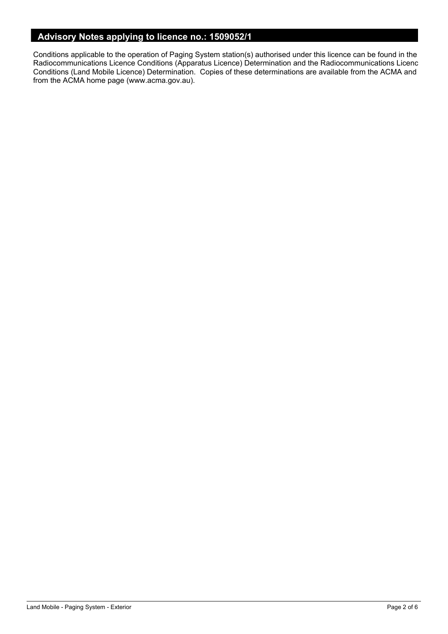### **Advisory Notes applying to licence no.: 1509052/1**

Conditions applicable to the operation of Paging System station(s) authorised under this licence can be found in the Radiocommunications Licence Conditions (Apparatus Licence) Determination and the Radiocommunications Licence Conditions (Land Mobile Licence) Determination. Copies of these determinations are available from the ACMA and from the ACMA home page (www.acma.gov.au).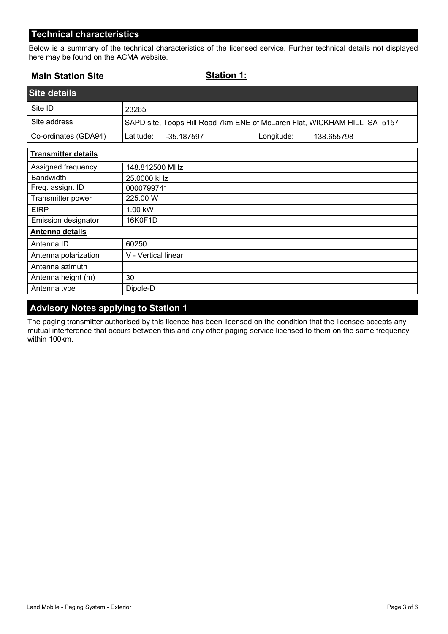#### **Technical characteristics**

Below is a summary of the technical characteristics of the licensed service. Further technical details not displayed here may be found on the ACMA website.

| <b>Main Station Site</b>   | <b>Station 1:</b>                                                        |
|----------------------------|--------------------------------------------------------------------------|
| <b>Site details</b>        |                                                                          |
| Site ID                    | 23265                                                                    |
| Site address               | SAPD site, Toops Hill Road 7km ENE of McLaren Flat, WICKHAM HILL SA 5157 |
| Co-ordinates (GDA94)       | Latitude:<br>Longitude:<br>$-35.187597$<br>138.655798                    |
| <b>Transmitter details</b> |                                                                          |
| Assigned frequency         | 148.812500 MHz                                                           |
| <b>Bandwidth</b>           | 25.0000 kHz                                                              |
| Freq. assign. ID           | 0000799741                                                               |
| Transmitter power          | 225.00 W                                                                 |
| <b>EIRP</b>                | 1.00 kW                                                                  |
| Emission designator        | 16K0F1D                                                                  |
| Antenna details            |                                                                          |
| Antenna ID                 | 60250                                                                    |
| Antenna polarization       | V - Vertical linear                                                      |
| Antenna azimuth            |                                                                          |
| Antenna height (m)         | 30                                                                       |
| Antenna type               | Dipole-D                                                                 |

### **Advisory Notes applying to Station 1**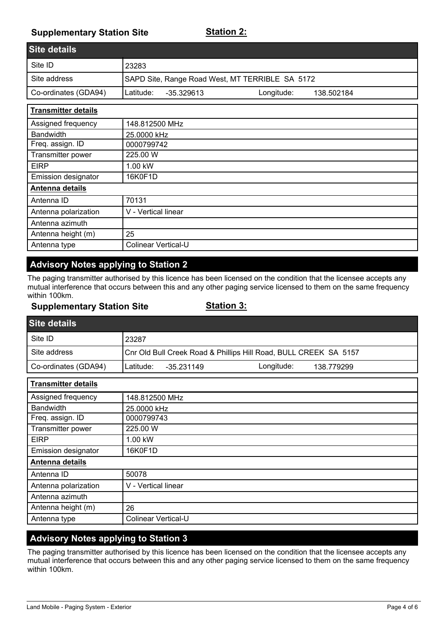### **Supplementary Station Site**

| Site details         |                                                 |            |            |  |
|----------------------|-------------------------------------------------|------------|------------|--|
| Site ID              | 23283                                           |            |            |  |
| Site address         | SAPD Site, Range Road West, MT TERRIBLE SA 5172 |            |            |  |
| Co-ordinates (GDA94) | ILatitude:<br>-35.329613                        | Longitude: | 138.502184 |  |

| <b>Transmitter details</b> |                            |
|----------------------------|----------------------------|
| Assigned frequency         | 148.812500 MHz             |
| <b>Bandwidth</b>           | 25.0000 kHz                |
| Freq. assign. ID           | 0000799742                 |
| Transmitter power          | 225.00 W                   |
| <b>EIRP</b>                | 1.00 kW                    |
| <b>Emission designator</b> | 16K0F1D                    |
| Antenna details            |                            |
| Antenna ID                 | 70131                      |
| Antenna polarization       | V - Vertical linear        |
| Antenna azimuth            |                            |
| Antenna height (m)         | 25                         |
| Antenna type               | <b>Colinear Vertical-U</b> |

## **Advisory Notes applying to Station 2**

The paging transmitter authorised by this licence has been licensed on the condition that the licensee accepts any mutual interference that occurs between this and any other paging service licensed to them on the same frequency within 100km.

#### **Supplementary Station Site**

#### **Station 3:**

| <b>Site details</b>  |                                                                  |  |
|----------------------|------------------------------------------------------------------|--|
| Site ID              | 23287                                                            |  |
| Site address         | Cnr Old Bull Creek Road & Phillips Hill Road, BULL CREEK SA 5157 |  |
| Co-ordinates (GDA94) | Latitude:<br>Longitude:<br>-35.231149<br>138.779299              |  |

| <b>Transmitter details</b> |                     |
|----------------------------|---------------------|
| Assigned frequency         | 148.812500 MHz      |
| <b>Bandwidth</b>           | 25.0000 kHz         |
| Freq. assign. ID           | 0000799743          |
| Transmitter power          | 225.00 W            |
| <b>EIRP</b>                | 1.00 kW             |
| Emission designator        | 16K0F1D             |
| Antenna details            |                     |
| Antenna ID                 | 50078               |
| Antenna polarization       | V - Vertical linear |
| Antenna azimuth            |                     |
| Antenna height (m)         | 26                  |
| Antenna type               | Colinear Vertical-U |

### **Advisory Notes applying to Station 3**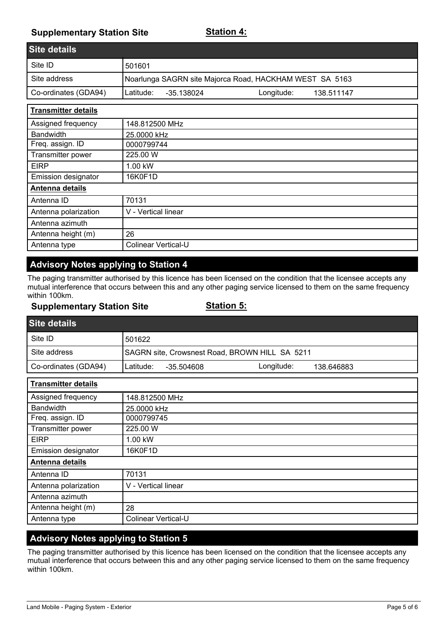### **Supplementary Station Site**

| <b>Site details</b>  |                                                         |
|----------------------|---------------------------------------------------------|
| Site ID              | 501601                                                  |
| Site address         | Noarlunga SAGRN site Majorca Road, HACKHAM WEST SA 5163 |
| Co-ordinates (GDA94) | Longitude:<br>ILatitude:<br>-35.138024<br>138.511147    |

| <b>Transmitter details</b> |                            |
|----------------------------|----------------------------|
| Assigned frequency         | 148.812500 MHz             |
| <b>Bandwidth</b>           | 25.0000 kHz                |
| Freq. assign. ID           | 0000799744                 |
| Transmitter power          | 225.00 W                   |
| <b>EIRP</b>                | 1.00 kW                    |
| <b>Emission designator</b> | 16K0F1D                    |
| Antenna details            |                            |
| Antenna ID                 | 70131                      |
| Antenna polarization       | V - Vertical linear        |
| Antenna azimuth            |                            |
| Antenna height (m)         | 26                         |
| Antenna type               | <b>Colinear Vertical-U</b> |

## **Advisory Notes applying to Station 4**

The paging transmitter authorised by this licence has been licensed on the condition that the licensee accepts any mutual interference that occurs between this and any other paging service licensed to them on the same frequency within 100km.

#### **Supplementary Station Site**

#### **Station 5:**

| <b>Site details</b>  |            |            |                                                |            |  |
|----------------------|------------|------------|------------------------------------------------|------------|--|
| Site ID              | 501622     |            |                                                |            |  |
| Site address         |            |            | SAGRN site, Crowsnest Road, BROWN HILL SA 5211 |            |  |
| Co-ordinates (GDA94) | ILatitude: | -35.504608 | Longitude:                                     | 138.646883 |  |

| <b>Transmitter details</b> |                     |
|----------------------------|---------------------|
| Assigned frequency         | 148.812500 MHz      |
| <b>Bandwidth</b>           | 25.0000 kHz         |
| Freq. assign. ID           | 0000799745          |
| Transmitter power          | 225.00 W            |
| <b>EIRP</b>                | 1.00 kW             |
| Emission designator        | 16K0F1D             |
| Antenna details            |                     |
| Antenna ID                 | 70131               |
| Antenna polarization       | V - Vertical linear |
| Antenna azimuth            |                     |
| Antenna height (m)         | 28                  |
| Antenna type               | Colinear Vertical-U |

### **Advisory Notes applying to Station 5**